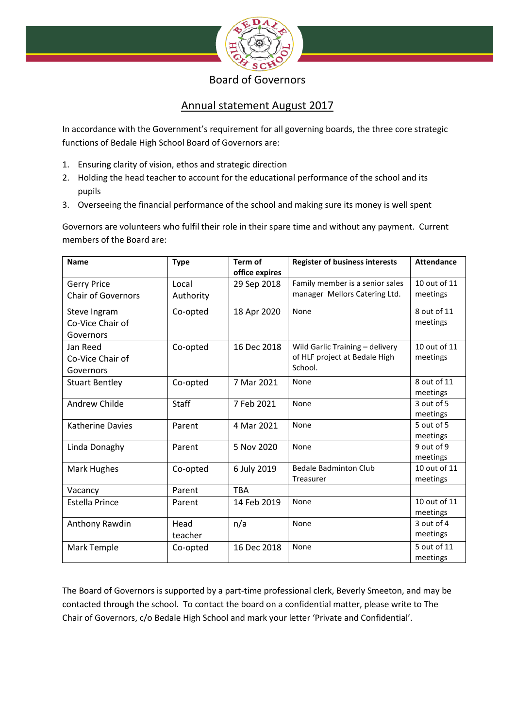

## Board of Governors

 $\omega$  and  $\omega$  and

# Annual statement August 2017

In accordance with the Government's requirement for all governing boards, the three core strategic functions of Bedale High School Board of Governors are:

- 1. Ensuring clarity of vision, ethos and strategic direction
- 2. Holding the head teacher to account for the educational performance of the school and its pupils
- 3. Overseeing the financial performance of the school and making sure its money is well spent

Governors are volunteers who fulfil their role in their spare time and without any payment. Current members of the Board are:

| <b>Name</b>                   | <b>Type</b>  | Term of<br>office expires | <b>Register of business interests</b> | <b>Attendance</b>       |
|-------------------------------|--------------|---------------------------|---------------------------------------|-------------------------|
| <b>Gerry Price</b>            | Local        | 29 Sep 2018               | Family member is a senior sales       | 10 out of 11            |
| <b>Chair of Governors</b>     | Authority    |                           | manager Mellors Catering Ltd.         | meetings                |
| Steve Ingram                  | Co-opted     | 18 Apr 2020               | None                                  | 8 out of 11<br>meetings |
| Co-Vice Chair of<br>Governors |              |                           |                                       |                         |
| Jan Reed                      | Co-opted     | 16 Dec 2018               | Wild Garlic Training - delivery       | $10$ out of $11$        |
| Co-Vice Chair of              |              |                           | of HLF project at Bedale High         | meetings                |
| Governors                     |              |                           | School.                               |                         |
| <b>Stuart Bentley</b>         | Co-opted     | 7 Mar 2021                | None                                  | 8 out of 11             |
|                               |              |                           |                                       | meetings                |
| Andrew Childe                 | <b>Staff</b> | 7 Feb 2021                | None                                  | 3 out of 5              |
|                               |              |                           |                                       | meetings                |
| <b>Katherine Davies</b>       | Parent       | 4 Mar 2021                | None                                  | 5 out of 5              |
|                               |              |                           |                                       | meetings                |
| Linda Donaghy                 | Parent       | 5 Nov 2020                | None                                  | 9 out of 9              |
|                               |              |                           |                                       | meetings                |
| Mark Hughes                   | Co-opted     | 6 July 2019               | <b>Bedale Badminton Club</b>          | 10 out of 11            |
|                               |              |                           | Treasurer                             | meetings                |
| Vacancy                       | Parent       | <b>TRA</b>                |                                       |                         |
| <b>Estella Prince</b>         | Parent       | 14 Feb 2019               | None                                  | 10 out of 11            |
|                               |              |                           |                                       | meetings                |
| Anthony Rawdin                | Head         | n/a                       | None                                  | 3 out of 4              |
|                               | teacher      |                           |                                       | meetings                |
| Mark Temple                   | Co-opted     | 16 Dec 2018               | None                                  | 5 out of 11             |
|                               |              |                           |                                       | meetings                |

The Board of Governors is supported by a part-time professional clerk, Beverly Smeeton, and may be contacted through the school. To contact the board on a confidential matter, please write to The Chair of Governors, c/o Bedale High School and mark your letter 'Private and Confidential'.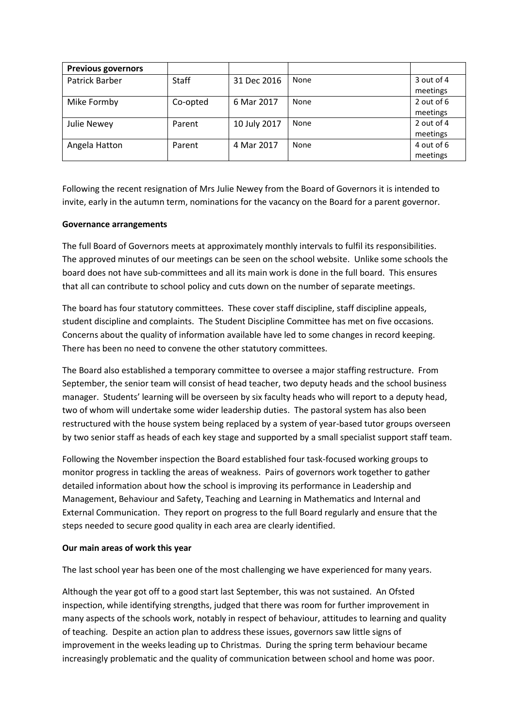| <b>Previous governors</b> |              |              |      |            |
|---------------------------|--------------|--------------|------|------------|
| Patrick Barber            | <b>Staff</b> | 31 Dec 2016  | None | 3 out of 4 |
|                           |              |              |      | meetings   |
| Mike Formby               | Co-opted     | 6 Mar 2017   | None | 2 out of 6 |
|                           |              |              |      | meetings   |
| Julie Newey               | Parent       | 10 July 2017 | None | 2 out of 4 |
|                           |              |              |      | meetings   |
| Angela Hatton             | Parent       | 4 Mar 2017   | None | 4 out of 6 |
|                           |              |              |      | meetings   |

Following the recent resignation of Mrs Julie Newey from the Board of Governors it is intended to invite, early in the autumn term, nominations for the vacancy on the Board for a parent governor.

## **Governance arrangements**

The full Board of Governors meets at approximately monthly intervals to fulfil its responsibilities. The approved minutes of our meetings can be seen on the school website. Unlike some schools the board does not have sub-committees and all its main work is done in the full board. This ensures that all can contribute to school policy and cuts down on the number of separate meetings.

The board has four statutory committees. These cover staff discipline, staff discipline appeals, student discipline and complaints. The Student Discipline Committee has met on five occasions. Concerns about the quality of information available have led to some changes in record keeping. There has been no need to convene the other statutory committees.

The Board also established a temporary committee to oversee a major staffing restructure. From September, the senior team will consist of head teacher, two deputy heads and the school business manager. Students' learning will be overseen by six faculty heads who will report to a deputy head, two of whom will undertake some wider leadership duties. The pastoral system has also been restructured with the house system being replaced by a system of year-based tutor groups overseen by two senior staff as heads of each key stage and supported by a small specialist support staff team.

Following the November inspection the Board established four task-focused working groups to monitor progress in tackling the areas of weakness. Pairs of governors work together to gather detailed information about how the school is improving its performance in Leadership and Management, Behaviour and Safety, Teaching and Learning in Mathematics and Internal and External Communication. They report on progress to the full Board regularly and ensure that the steps needed to secure good quality in each area are clearly identified.

### **Our main areas of work this year**

The last school year has been one of the most challenging we have experienced for many years.

Although the year got off to a good start last September, this was not sustained. An Ofsted inspection, while identifying strengths, judged that there was room for further improvement in many aspects of the schools work, notably in respect of behaviour, attitudes to learning and quality of teaching. Despite an action plan to address these issues, governors saw little signs of improvement in the weeks leading up to Christmas. During the spring term behaviour became increasingly problematic and the quality of communication between school and home was poor.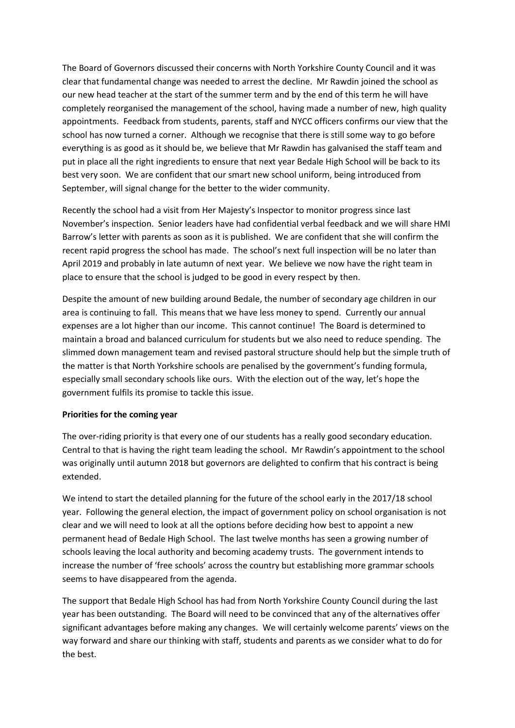The Board of Governors discussed their concerns with North Yorkshire County Council and it was clear that fundamental change was needed to arrest the decline. Mr Rawdin joined the school as our new head teacher at the start of the summer term and by the end of this term he will have completely reorganised the management of the school, having made a number of new, high quality appointments. Feedback from students, parents, staff and NYCC officers confirms our view that the school has now turned a corner. Although we recognise that there is still some way to go before everything is as good as it should be, we believe that Mr Rawdin has galvanised the staff team and put in place all the right ingredients to ensure that next year Bedale High School will be back to its best very soon. We are confident that our smart new school uniform, being introduced from September, will signal change for the better to the wider community.

Recently the school had a visit from Her Majesty's Inspector to monitor progress since last November's inspection. Senior leaders have had confidential verbal feedback and we will share HMI Barrow's letter with parents as soon as it is published. We are confident that she will confirm the recent rapid progress the school has made. The school's next full inspection will be no later than April 2019 and probably in late autumn of next year. We believe we now have the right team in place to ensure that the school is judged to be good in every respect by then.

Despite the amount of new building around Bedale, the number of secondary age children in our area is continuing to fall. This means that we have less money to spend. Currently our annual expenses are a lot higher than our income. This cannot continue! The Board is determined to maintain a broad and balanced curriculum for students but we also need to reduce spending. The slimmed down management team and revised pastoral structure should help but the simple truth of the matter is that North Yorkshire schools are penalised by the government's funding formula, especially small secondary schools like ours. With the election out of the way, let's hope the government fulfils its promise to tackle this issue.

### **Priorities for the coming year**

The over-riding priority is that every one of our students has a really good secondary education. Central to that is having the right team leading the school. Mr Rawdin's appointment to the school was originally until autumn 2018 but governors are delighted to confirm that his contract is being extended.

We intend to start the detailed planning for the future of the school early in the 2017/18 school year. Following the general election, the impact of government policy on school organisation is not clear and we will need to look at all the options before deciding how best to appoint a new permanent head of Bedale High School. The last twelve months has seen a growing number of schools leaving the local authority and becoming academy trusts. The government intends to increase the number of 'free schools' across the country but establishing more grammar schools seems to have disappeared from the agenda.

The support that Bedale High School has had from North Yorkshire County Council during the last year has been outstanding. The Board will need to be convinced that any of the alternatives offer significant advantages before making any changes. We will certainly welcome parents' views on the way forward and share our thinking with staff, students and parents as we consider what to do for the best.